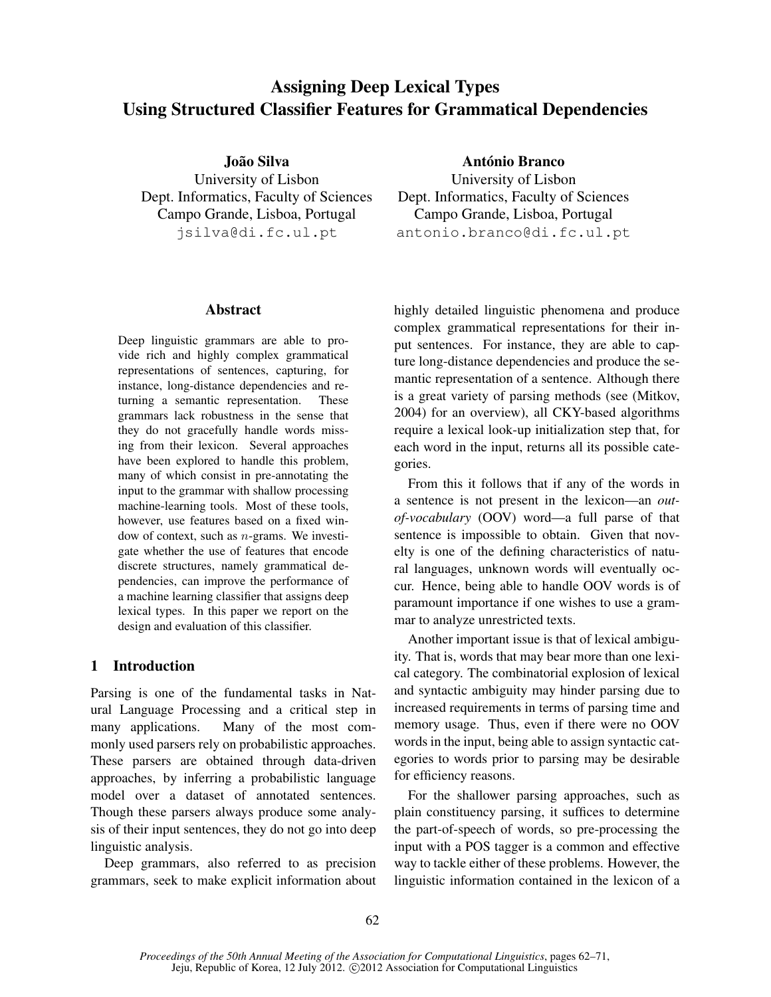# Assigning Deep Lexical Types Using Structured Classifier Features for Grammatical Dependencies

João Silva University of Lisbon Dept. Informatics, Faculty of Sciences Campo Grande, Lisboa, Portugal jsilva@di.fc.ul.pt

### Abstract

Deep linguistic grammars are able to provide rich and highly complex grammatical representations of sentences, capturing, for instance, long-distance dependencies and returning a semantic representation. These grammars lack robustness in the sense that they do not gracefully handle words missing from their lexicon. Several approaches have been explored to handle this problem, many of which consist in pre-annotating the input to the grammar with shallow processing machine-learning tools. Most of these tools, however, use features based on a fixed window of context, such as  $n$ -grams. We investigate whether the use of features that encode discrete structures, namely grammatical dependencies, can improve the performance of a machine learning classifier that assigns deep lexical types. In this paper we report on the design and evaluation of this classifier.

# 1 Introduction

Parsing is one of the fundamental tasks in Natural Language Processing and a critical step in many applications. Many of the most commonly used parsers rely on probabilistic approaches. These parsers are obtained through data-driven approaches, by inferring a probabilistic language model over a dataset of annotated sentences. Though these parsers always produce some analysis of their input sentences, they do not go into deep linguistic analysis.

Deep grammars, also referred to as precision grammars, seek to make explicit information about

António Branco University of Lisbon Dept. Informatics, Faculty of Sciences Campo Grande, Lisboa, Portugal antonio.branco@di.fc.ul.pt

highly detailed linguistic phenomena and produce complex grammatical representations for their input sentences. For instance, they are able to capture long-distance dependencies and produce the semantic representation of a sentence. Although there is a great variety of parsing methods (see (Mitkov, 2004) for an overview), all CKY-based algorithms require a lexical look-up initialization step that, for each word in the input, returns all its possible categories.

From this it follows that if any of the words in a sentence is not present in the lexicon—an *outof-vocabulary* (OOV) word—a full parse of that sentence is impossible to obtain. Given that novelty is one of the defining characteristics of natural languages, unknown words will eventually occur. Hence, being able to handle OOV words is of paramount importance if one wishes to use a grammar to analyze unrestricted texts.

Another important issue is that of lexical ambiguity. That is, words that may bear more than one lexical category. The combinatorial explosion of lexical and syntactic ambiguity may hinder parsing due to increased requirements in terms of parsing time and memory usage. Thus, even if there were no OOV words in the input, being able to assign syntactic categories to words prior to parsing may be desirable for efficiency reasons.

For the shallower parsing approaches, such as plain constituency parsing, it suffices to determine the part-of-speech of words, so pre-processing the input with a POS tagger is a common and effective way to tackle either of these problems. However, the linguistic information contained in the lexicon of a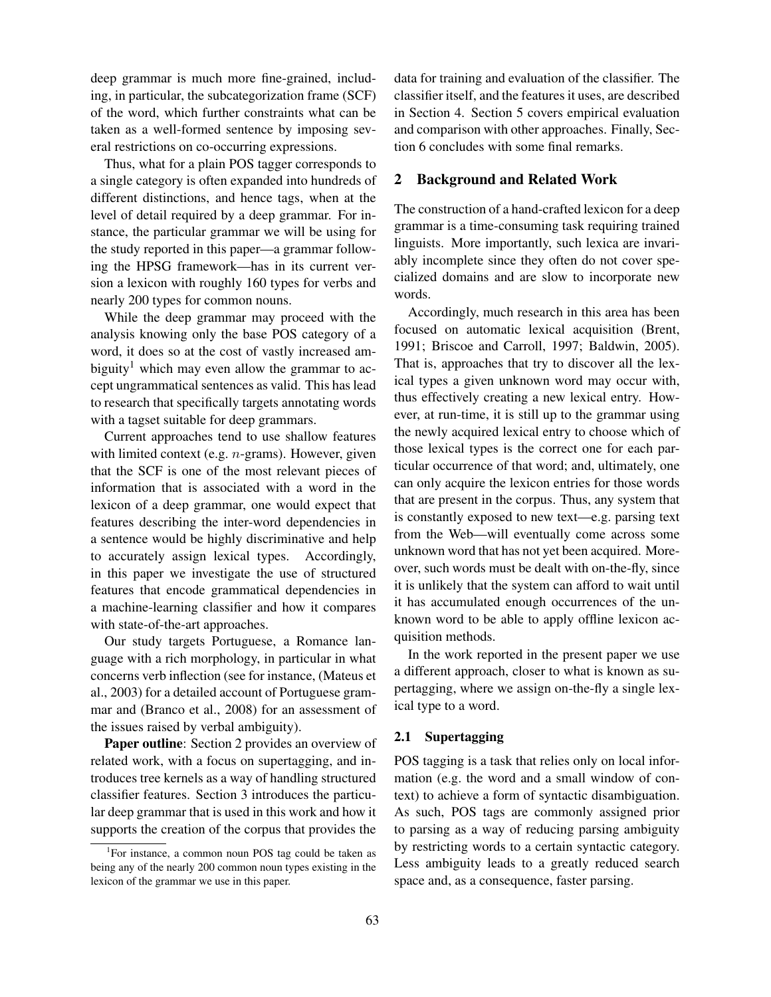deep grammar is much more fine-grained, including, in particular, the subcategorization frame (SCF) of the word, which further constraints what can be taken as a well-formed sentence by imposing several restrictions on co-occurring expressions.

Thus, what for a plain POS tagger corresponds to a single category is often expanded into hundreds of different distinctions, and hence tags, when at the level of detail required by a deep grammar. For instance, the particular grammar we will be using for the study reported in this paper—a grammar following the HPSG framework—has in its current version a lexicon with roughly 160 types for verbs and nearly 200 types for common nouns.

While the deep grammar may proceed with the analysis knowing only the base POS category of a word, it does so at the cost of vastly increased ambiguity<sup>1</sup> which may even allow the grammar to accept ungrammatical sentences as valid. This has lead to research that specifically targets annotating words with a tagset suitable for deep grammars.

Current approaches tend to use shallow features with limited context (e.g. *n*-grams). However, given that the SCF is one of the most relevant pieces of information that is associated with a word in the lexicon of a deep grammar, one would expect that features describing the inter-word dependencies in a sentence would be highly discriminative and help to accurately assign lexical types. Accordingly, in this paper we investigate the use of structured features that encode grammatical dependencies in a machine-learning classifier and how it compares with state-of-the-art approaches.

Our study targets Portuguese, a Romance language with a rich morphology, in particular in what concerns verb inflection (see for instance, (Mateus et al., 2003) for a detailed account of Portuguese grammar and (Branco et al., 2008) for an assessment of the issues raised by verbal ambiguity).

Paper outline: Section 2 provides an overview of related work, with a focus on supertagging, and introduces tree kernels as a way of handling structured classifier features. Section 3 introduces the particular deep grammar that is used in this work and how it supports the creation of the corpus that provides the

data for training and evaluation of the classifier. The classifier itself, and the features it uses, are described in Section 4. Section 5 covers empirical evaluation and comparison with other approaches. Finally, Section 6 concludes with some final remarks.

# 2 Background and Related Work

The construction of a hand-crafted lexicon for a deep grammar is a time-consuming task requiring trained linguists. More importantly, such lexica are invariably incomplete since they often do not cover specialized domains and are slow to incorporate new words.

Accordingly, much research in this area has been focused on automatic lexical acquisition (Brent, 1991; Briscoe and Carroll, 1997; Baldwin, 2005). That is, approaches that try to discover all the lexical types a given unknown word may occur with, thus effectively creating a new lexical entry. However, at run-time, it is still up to the grammar using the newly acquired lexical entry to choose which of those lexical types is the correct one for each particular occurrence of that word; and, ultimately, one can only acquire the lexicon entries for those words that are present in the corpus. Thus, any system that is constantly exposed to new text—e.g. parsing text from the Web—will eventually come across some unknown word that has not yet been acquired. Moreover, such words must be dealt with on-the-fly, since it is unlikely that the system can afford to wait until it has accumulated enough occurrences of the unknown word to be able to apply offline lexicon acquisition methods.

In the work reported in the present paper we use a different approach, closer to what is known as supertagging, where we assign on-the-fly a single lexical type to a word.

#### 2.1 Supertagging

POS tagging is a task that relies only on local information (e.g. the word and a small window of context) to achieve a form of syntactic disambiguation. As such, POS tags are commonly assigned prior to parsing as a way of reducing parsing ambiguity by restricting words to a certain syntactic category. Less ambiguity leads to a greatly reduced search space and, as a consequence, faster parsing.

<sup>&</sup>lt;sup>1</sup>For instance, a common noun POS tag could be taken as being any of the nearly 200 common noun types existing in the lexicon of the grammar we use in this paper.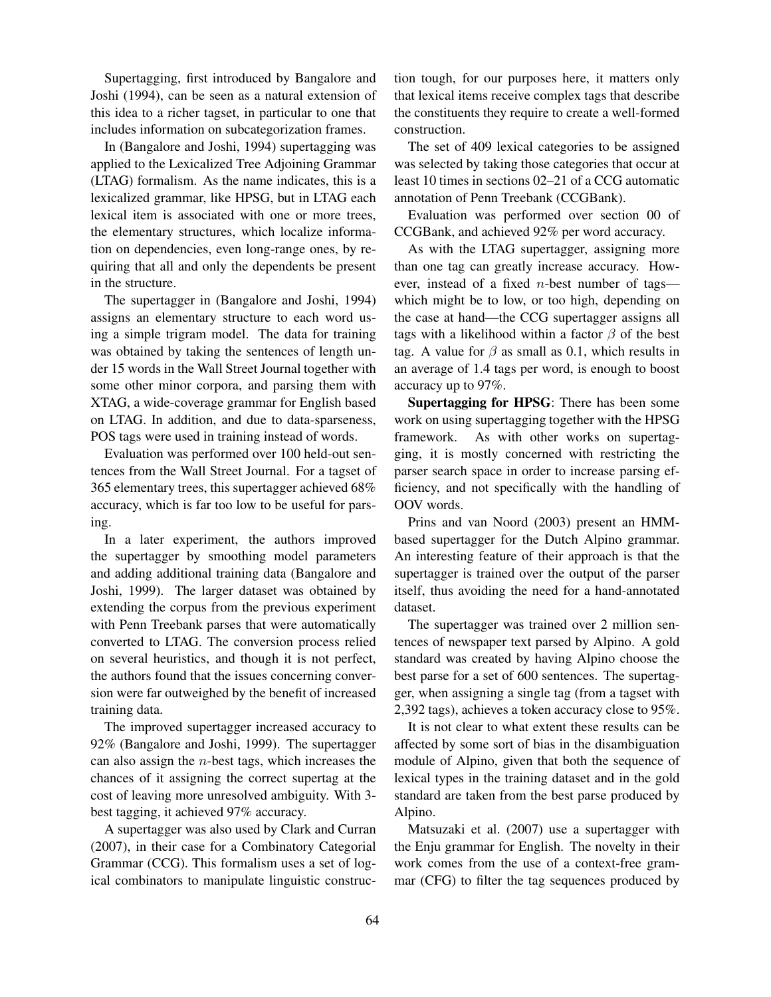Supertagging, first introduced by Bangalore and Joshi (1994), can be seen as a natural extension of this idea to a richer tagset, in particular to one that includes information on subcategorization frames.

In (Bangalore and Joshi, 1994) supertagging was applied to the Lexicalized Tree Adjoining Grammar (LTAG) formalism. As the name indicates, this is a lexicalized grammar, like HPSG, but in LTAG each lexical item is associated with one or more trees, the elementary structures, which localize information on dependencies, even long-range ones, by requiring that all and only the dependents be present in the structure.

The supertagger in (Bangalore and Joshi, 1994) assigns an elementary structure to each word using a simple trigram model. The data for training was obtained by taking the sentences of length under 15 words in the Wall Street Journal together with some other minor corpora, and parsing them with XTAG, a wide-coverage grammar for English based on LTAG. In addition, and due to data-sparseness, POS tags were used in training instead of words.

Evaluation was performed over 100 held-out sentences from the Wall Street Journal. For a tagset of 365 elementary trees, this supertagger achieved 68% accuracy, which is far too low to be useful for parsing.

In a later experiment, the authors improved the supertagger by smoothing model parameters and adding additional training data (Bangalore and Joshi, 1999). The larger dataset was obtained by extending the corpus from the previous experiment with Penn Treebank parses that were automatically converted to LTAG. The conversion process relied on several heuristics, and though it is not perfect, the authors found that the issues concerning conversion were far outweighed by the benefit of increased training data.

The improved supertagger increased accuracy to 92% (Bangalore and Joshi, 1999). The supertagger can also assign the  $n$ -best tags, which increases the chances of it assigning the correct supertag at the cost of leaving more unresolved ambiguity. With 3 best tagging, it achieved 97% accuracy.

A supertagger was also used by Clark and Curran (2007), in their case for a Combinatory Categorial Grammar (CCG). This formalism uses a set of logical combinators to manipulate linguistic construction tough, for our purposes here, it matters only that lexical items receive complex tags that describe the constituents they require to create a well-formed construction.

The set of 409 lexical categories to be assigned was selected by taking those categories that occur at least 10 times in sections 02–21 of a CCG automatic annotation of Penn Treebank (CCGBank).

Evaluation was performed over section 00 of CCGBank, and achieved 92% per word accuracy.

As with the LTAG supertagger, assigning more than one tag can greatly increase accuracy. However, instead of a fixed n-best number of tags which might be to low, or too high, depending on the case at hand—the CCG supertagger assigns all tags with a likelihood within a factor  $\beta$  of the best tag. A value for  $\beta$  as small as 0.1, which results in an average of 1.4 tags per word, is enough to boost accuracy up to 97%.

Supertagging for HPSG: There has been some work on using supertagging together with the HPSG framework. As with other works on supertagging, it is mostly concerned with restricting the parser search space in order to increase parsing efficiency, and not specifically with the handling of OOV words.

Prins and van Noord (2003) present an HMMbased supertagger for the Dutch Alpino grammar. An interesting feature of their approach is that the supertagger is trained over the output of the parser itself, thus avoiding the need for a hand-annotated dataset.

The supertagger was trained over 2 million sentences of newspaper text parsed by Alpino. A gold standard was created by having Alpino choose the best parse for a set of 600 sentences. The supertagger, when assigning a single tag (from a tagset with 2,392 tags), achieves a token accuracy close to 95%.

It is not clear to what extent these results can be affected by some sort of bias in the disambiguation module of Alpino, given that both the sequence of lexical types in the training dataset and in the gold standard are taken from the best parse produced by Alpino.

Matsuzaki et al. (2007) use a supertagger with the Enju grammar for English. The novelty in their work comes from the use of a context-free grammar (CFG) to filter the tag sequences produced by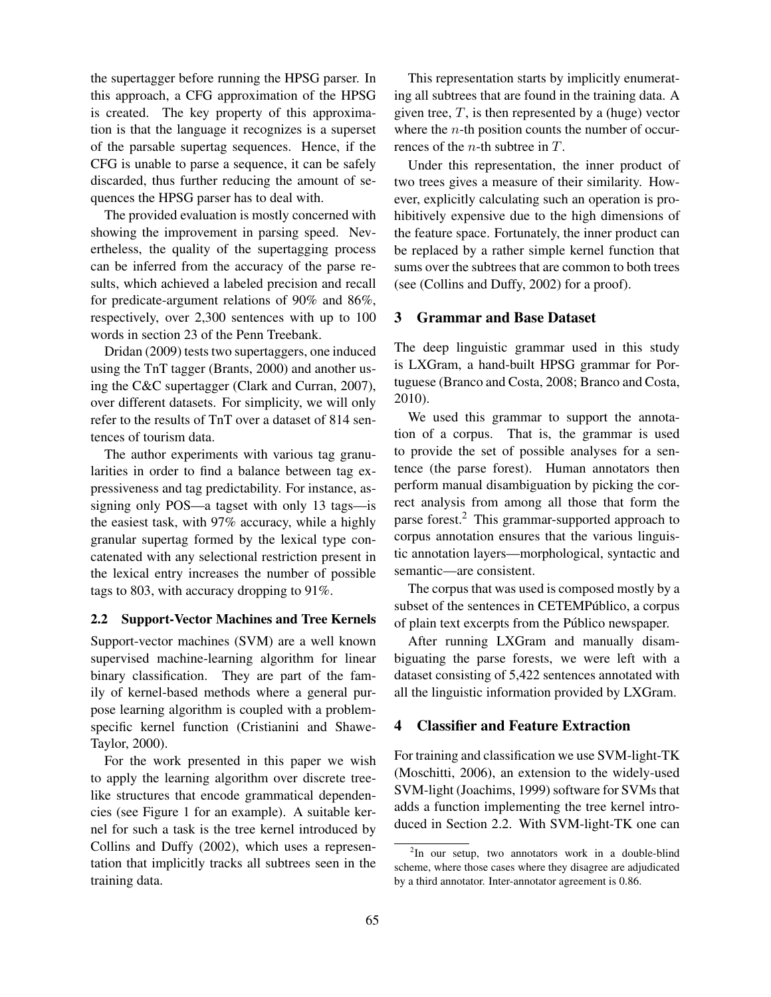the supertagger before running the HPSG parser. In this approach, a CFG approximation of the HPSG is created. The key property of this approximation is that the language it recognizes is a superset of the parsable supertag sequences. Hence, if the CFG is unable to parse a sequence, it can be safely discarded, thus further reducing the amount of sequences the HPSG parser has to deal with.

The provided evaluation is mostly concerned with showing the improvement in parsing speed. Nevertheless, the quality of the supertagging process can be inferred from the accuracy of the parse results, which achieved a labeled precision and recall for predicate-argument relations of 90% and 86%, respectively, over 2,300 sentences with up to 100 words in section 23 of the Penn Treebank.

Dridan (2009) tests two supertaggers, one induced using the TnT tagger (Brants, 2000) and another using the C&C supertagger (Clark and Curran, 2007), over different datasets. For simplicity, we will only refer to the results of TnT over a dataset of 814 sentences of tourism data.

The author experiments with various tag granularities in order to find a balance between tag expressiveness and tag predictability. For instance, assigning only POS—a tagset with only 13 tags—is the easiest task, with 97% accuracy, while a highly granular supertag formed by the lexical type concatenated with any selectional restriction present in the lexical entry increases the number of possible tags to 803, with accuracy dropping to 91%.

# 2.2 Support-Vector Machines and Tree Kernels

Support-vector machines (SVM) are a well known supervised machine-learning algorithm for linear binary classification. They are part of the family of kernel-based methods where a general purpose learning algorithm is coupled with a problemspecific kernel function (Cristianini and Shawe-Taylor, 2000).

For the work presented in this paper we wish to apply the learning algorithm over discrete treelike structures that encode grammatical dependencies (see Figure 1 for an example). A suitable kernel for such a task is the tree kernel introduced by Collins and Duffy (2002), which uses a representation that implicitly tracks all subtrees seen in the training data.

This representation starts by implicitly enumerating all subtrees that are found in the training data. A given tree,  $T$ , is then represented by a (huge) vector where the  $n$ -th position counts the number of occurrences of the  $n$ -th subtree in  $T$ .

Under this representation, the inner product of two trees gives a measure of their similarity. However, explicitly calculating such an operation is prohibitively expensive due to the high dimensions of the feature space. Fortunately, the inner product can be replaced by a rather simple kernel function that sums over the subtrees that are common to both trees (see (Collins and Duffy, 2002) for a proof).

### 3 Grammar and Base Dataset

The deep linguistic grammar used in this study is LXGram, a hand-built HPSG grammar for Portuguese (Branco and Costa, 2008; Branco and Costa, 2010).

We used this grammar to support the annotation of a corpus. That is, the grammar is used to provide the set of possible analyses for a sentence (the parse forest). Human annotators then perform manual disambiguation by picking the correct analysis from among all those that form the parse forest.<sup>2</sup> This grammar-supported approach to corpus annotation ensures that the various linguistic annotation layers—morphological, syntactic and semantic—are consistent.

The corpus that was used is composed mostly by a subset of the sentences in CETEMPúblico, a corpus of plain text excerpts from the Publico newspaper. ´

After running LXGram and manually disambiguating the parse forests, we were left with a dataset consisting of 5,422 sentences annotated with all the linguistic information provided by LXGram.

# 4 Classifier and Feature Extraction

For training and classification we use SVM-light-TK (Moschitti, 2006), an extension to the widely-used SVM-light (Joachims, 1999) software for SVMs that adds a function implementing the tree kernel introduced in Section 2.2. With SVM-light-TK one can

<sup>&</sup>lt;sup>2</sup>In our setup, two annotators work in a double-blind scheme, where those cases where they disagree are adjudicated by a third annotator. Inter-annotator agreement is 0.86.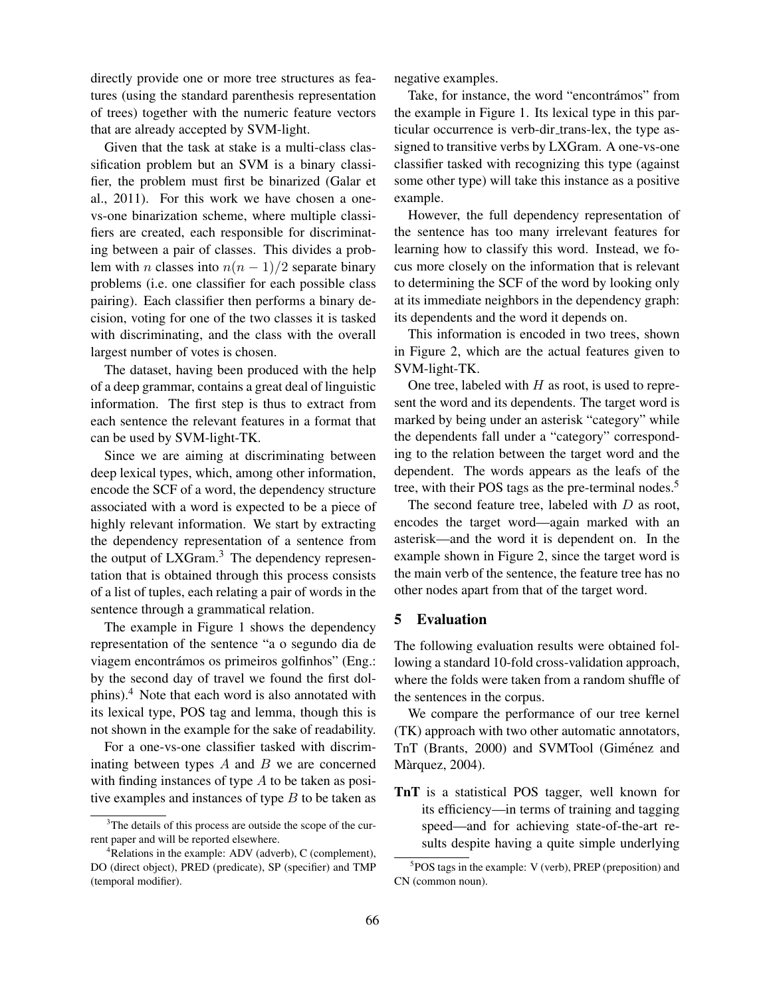directly provide one or more tree structures as features (using the standard parenthesis representation of trees) together with the numeric feature vectors that are already accepted by SVM-light.

Given that the task at stake is a multi-class classification problem but an SVM is a binary classifier, the problem must first be binarized (Galar et al., 2011). For this work we have chosen a onevs-one binarization scheme, where multiple classifiers are created, each responsible for discriminating between a pair of classes. This divides a problem with n classes into  $n(n - 1)/2$  separate binary problems (i.e. one classifier for each possible class pairing). Each classifier then performs a binary decision, voting for one of the two classes it is tasked with discriminating, and the class with the overall largest number of votes is chosen.

The dataset, having been produced with the help of a deep grammar, contains a great deal of linguistic information. The first step is thus to extract from each sentence the relevant features in a format that can be used by SVM-light-TK.

Since we are aiming at discriminating between deep lexical types, which, among other information, encode the SCF of a word, the dependency structure associated with a word is expected to be a piece of highly relevant information. We start by extracting the dependency representation of a sentence from the output of LXGram.<sup>3</sup> The dependency representation that is obtained through this process consists of a list of tuples, each relating a pair of words in the sentence through a grammatical relation.

The example in Figure 1 shows the dependency representation of the sentence "a o segundo dia de viagem encontrámos os primeiros golfinhos" (Eng.: by the second day of travel we found the first dolphins).<sup>4</sup> Note that each word is also annotated with its lexical type, POS tag and lemma, though this is not shown in the example for the sake of readability.

For a one-vs-one classifier tasked with discriminating between types  $A$  and  $B$  we are concerned with finding instances of type  $A$  to be taken as positive examples and instances of type  $B$  to be taken as negative examples.

Take, for instance, the word "encontrámos" from the example in Figure 1. Its lexical type in this particular occurrence is verb-dir\_trans-lex, the type assigned to transitive verbs by LXGram. A one-vs-one classifier tasked with recognizing this type (against some other type) will take this instance as a positive example.

However, the full dependency representation of the sentence has too many irrelevant features for learning how to classify this word. Instead, we focus more closely on the information that is relevant to determining the SCF of the word by looking only at its immediate neighbors in the dependency graph: its dependents and the word it depends on.

This information is encoded in two trees, shown in Figure 2, which are the actual features given to SVM-light-TK.

One tree, labeled with  $H$  as root, is used to represent the word and its dependents. The target word is marked by being under an asterisk "category" while the dependents fall under a "category" corresponding to the relation between the target word and the dependent. The words appears as the leafs of the tree, with their POS tags as the pre-terminal nodes.<sup>5</sup>

The second feature tree, labeled with  $D$  as root, encodes the target word—again marked with an asterisk—and the word it is dependent on. In the example shown in Figure 2, since the target word is the main verb of the sentence, the feature tree has no other nodes apart from that of the target word.

# 5 Evaluation

The following evaluation results were obtained following a standard 10-fold cross-validation approach, where the folds were taken from a random shuffle of the sentences in the corpus.

We compare the performance of our tree kernel (TK) approach with two other automatic annotators, TnT (Brants, 2000) and SVMTool (Giménez and Màrquez, 2004).

TnT is a statistical POS tagger, well known for its efficiency—in terms of training and tagging speed—and for achieving state-of-the-art results despite having a quite simple underlying

<sup>&</sup>lt;sup>3</sup>The details of this process are outside the scope of the current paper and will be reported elsewhere.

<sup>4</sup>Relations in the example: ADV (adverb), C (complement), DO (direct object), PRED (predicate), SP (specifier) and TMP (temporal modifier).

<sup>5</sup> POS tags in the example: V (verb), PREP (preposition) and CN (common noun).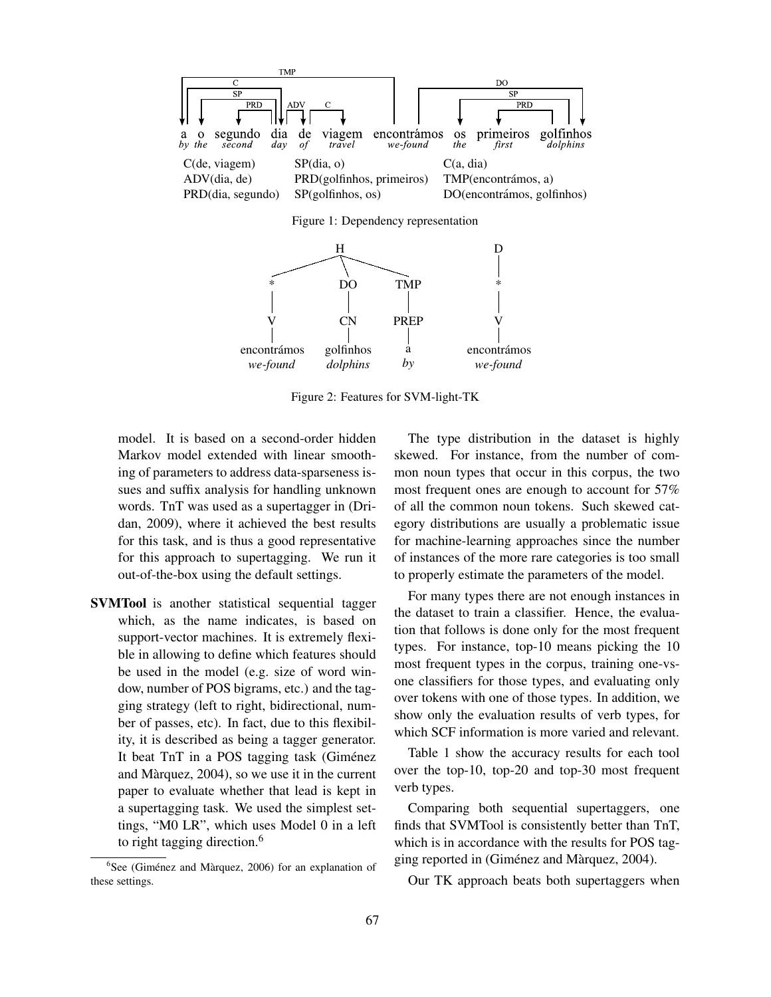

PREP a *by* CN golfinhos *dolphins* V encontrámos *we-found* V encontrámos *we-found*

Figure 2: Features for SVM-light-TK

model. It is based on a second-order hidden Markov model extended with linear smoothing of parameters to address data-sparseness issues and suffix analysis for handling unknown words. TnT was used as a supertagger in (Dridan, 2009), where it achieved the best results for this task, and is thus a good representative for this approach to supertagging. We run it out-of-the-box using the default settings.

SVMTool is another statistical sequential tagger which, as the name indicates, is based on support-vector machines. It is extremely flexible in allowing to define which features should be used in the model (e.g. size of word window, number of POS bigrams, etc.) and the tagging strategy (left to right, bidirectional, number of passes, etc). In fact, due to this flexibility, it is described as being a tagger generator. It beat TnT in a POS tagging task (Giménez and Marquez, 2004), so we use it in the current ` paper to evaluate whether that lead is kept in a supertagging task. We used the simplest settings, "M0 LR", which uses Model 0 in a left to right tagging direction.<sup>6</sup>

The type distribution in the dataset is highly skewed. For instance, from the number of common noun types that occur in this corpus, the two most frequent ones are enough to account for 57% of all the common noun tokens. Such skewed category distributions are usually a problematic issue for machine-learning approaches since the number of instances of the more rare categories is too small to properly estimate the parameters of the model.

For many types there are not enough instances in the dataset to train a classifier. Hence, the evaluation that follows is done only for the most frequent types. For instance, top-10 means picking the 10 most frequent types in the corpus, training one-vsone classifiers for those types, and evaluating only over tokens with one of those types. In addition, we show only the evaluation results of verb types, for which SCF information is more varied and relevant.

Table 1 show the accuracy results for each tool over the top-10, top-20 and top-30 most frequent verb types.

Comparing both sequential supertaggers, one finds that SVMTool is consistently better than TnT, which is in accordance with the results for POS tagging reported in (Giménez and Màrquez, 2004).

Our TK approach beats both supertaggers when

 $6$ See (Giménez and Màrquez, 2006) for an explanation of these settings.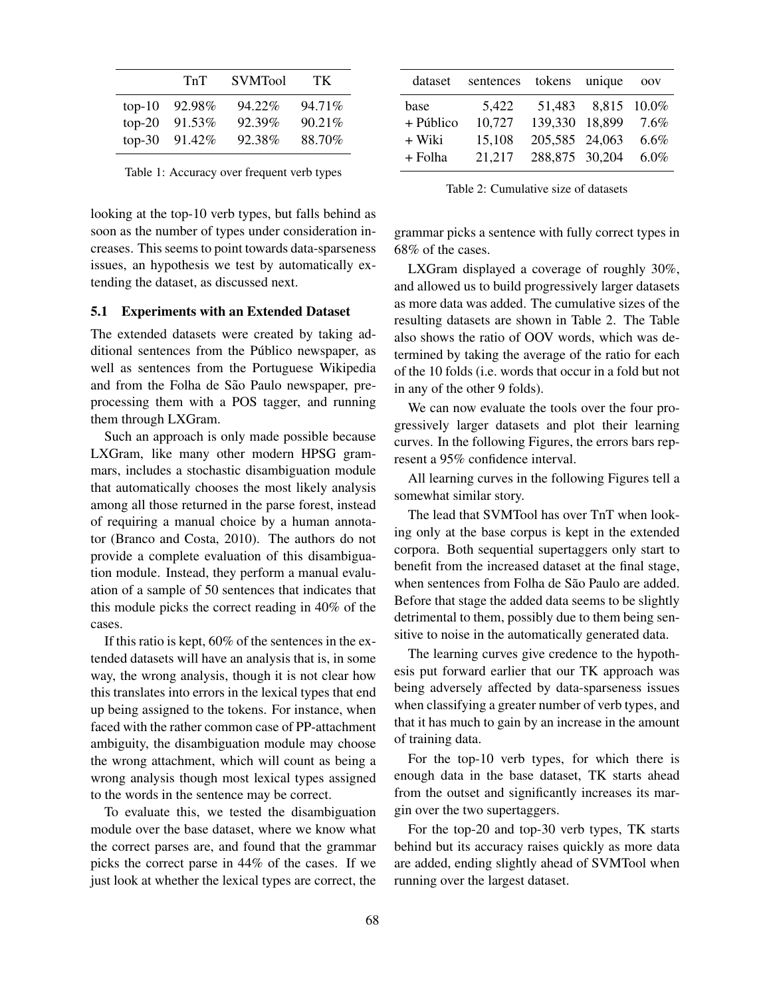|          | TnT    | <b>SVMTool</b> | TK.    |
|----------|--------|----------------|--------|
| $top-10$ | 92.98% | 94.22%         | 94.71% |
| $top-20$ | 91.53% | 92.39%         | 90.21% |
| $top-30$ | 91.42% | 92.38%         | 88.70% |

Table 1: Accuracy over frequent verb types

looking at the top-10 verb types, but falls behind as soon as the number of types under consideration increases. This seems to point towards data-sparseness issues, an hypothesis we test by automatically extending the dataset, as discussed next.

## 5.1 Experiments with an Extended Dataset

The extended datasets were created by taking additional sentences from the Público newspaper, as well as sentences from the Portuguese Wikipedia and from the Folha de São Paulo newspaper, preprocessing them with a POS tagger, and running them through LXGram.

Such an approach is only made possible because LXGram, like many other modern HPSG grammars, includes a stochastic disambiguation module that automatically chooses the most likely analysis among all those returned in the parse forest, instead of requiring a manual choice by a human annotator (Branco and Costa, 2010). The authors do not provide a complete evaluation of this disambiguation module. Instead, they perform a manual evaluation of a sample of 50 sentences that indicates that this module picks the correct reading in 40% of the cases.

If this ratio is kept, 60% of the sentences in the extended datasets will have an analysis that is, in some way, the wrong analysis, though it is not clear how this translates into errors in the lexical types that end up being assigned to the tokens. For instance, when faced with the rather common case of PP-attachment ambiguity, the disambiguation module may choose the wrong attachment, which will count as being a wrong analysis though most lexical types assigned to the words in the sentence may be correct.

To evaluate this, we tested the disambiguation module over the base dataset, where we know what the correct parses are, and found that the grammar picks the correct parse in 44% of the cases. If we just look at whether the lexical types are correct, the

| dataset   | sentences tokens unique |                |                    | <b>OOV</b> |
|-----------|-------------------------|----------------|--------------------|------------|
| base      | 5,422                   |                | 51,483 8,815 10.0% |            |
| + Público | 10,727                  | 139,330 18,899 |                    | 7.6%       |
| + Wiki    | 15,108                  | 205,585 24,063 |                    | $6.6\%$    |
| + Folha   | 21.217                  | 288,875 30,204 |                    | $6.0\%$    |

Table 2: Cumulative size of datasets

grammar picks a sentence with fully correct types in 68% of the cases.

LXGram displayed a coverage of roughly 30%, and allowed us to build progressively larger datasets as more data was added. The cumulative sizes of the resulting datasets are shown in Table 2. The Table also shows the ratio of OOV words, which was determined by taking the average of the ratio for each of the 10 folds (i.e. words that occur in a fold but not in any of the other 9 folds).

We can now evaluate the tools over the four progressively larger datasets and plot their learning curves. In the following Figures, the errors bars represent a 95% confidence interval.

All learning curves in the following Figures tell a somewhat similar story.

The lead that SVMTool has over TnT when looking only at the base corpus is kept in the extended corpora. Both sequential supertaggers only start to benefit from the increased dataset at the final stage, when sentences from Folha de São Paulo are added. Before that stage the added data seems to be slightly detrimental to them, possibly due to them being sensitive to noise in the automatically generated data.

The learning curves give credence to the hypothesis put forward earlier that our TK approach was being adversely affected by data-sparseness issues when classifying a greater number of verb types, and that it has much to gain by an increase in the amount of training data.

For the top-10 verb types, for which there is enough data in the base dataset, TK starts ahead from the outset and significantly increases its margin over the two supertaggers.

For the top-20 and top-30 verb types, TK starts behind but its accuracy raises quickly as more data are added, ending slightly ahead of SVMTool when running over the largest dataset.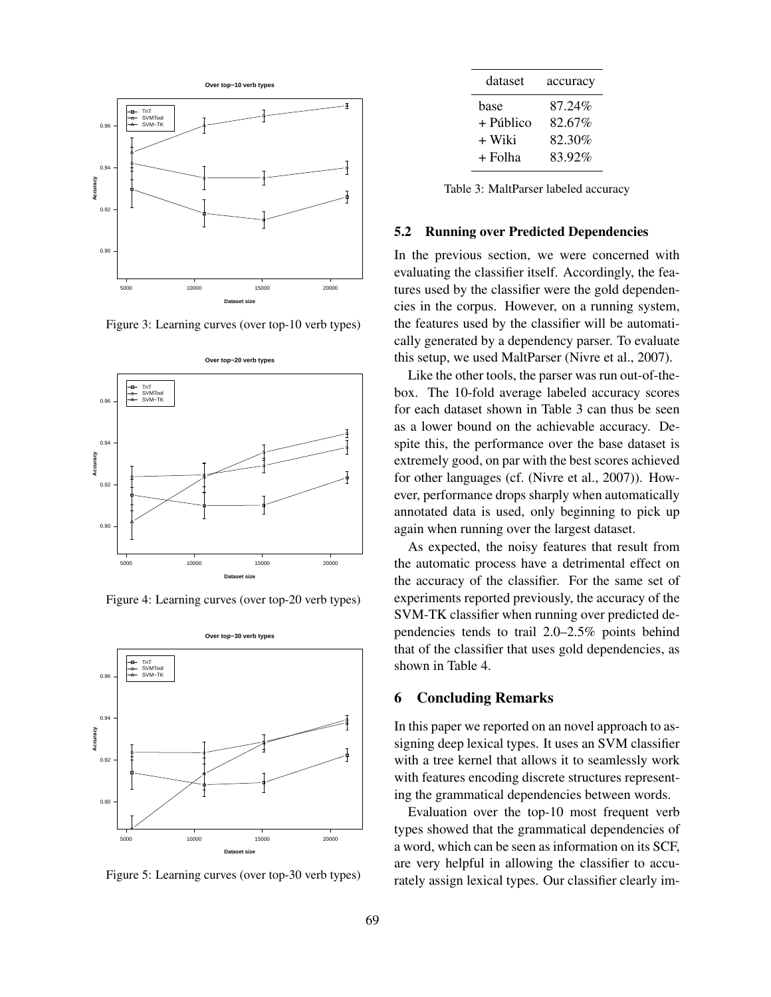

Figure 3: Learning curves (over top-10 verb types)



Figure 4: Learning curves (over top-20 verb types)



Figure 5: Learning curves (over top-30 verb types)

| accuracy |
|----------|
| 87.24%   |
| 82.67%   |
| 82.30%   |
| 83.92%   |
|          |

Table 3: MaltParser labeled accuracy

#### 5.2 Running over Predicted Dependencies

In the previous section, we were concerned with evaluating the classifier itself. Accordingly, the features used by the classifier were the gold dependencies in the corpus. However, on a running system, the features used by the classifier will be automatically generated by a dependency parser. To evaluate this setup, we used MaltParser (Nivre et al., 2007).

Like the other tools, the parser was run out-of-thebox. The 10-fold average labeled accuracy scores for each dataset shown in Table 3 can thus be seen as a lower bound on the achievable accuracy. Despite this, the performance over the base dataset is extremely good, on par with the best scores achieved for other languages (cf. (Nivre et al., 2007)). However, performance drops sharply when automatically annotated data is used, only beginning to pick up again when running over the largest dataset.

As expected, the noisy features that result from the automatic process have a detrimental effect on the accuracy of the classifier. For the same set of experiments reported previously, the accuracy of the SVM-TK classifier when running over predicted dependencies tends to trail 2.0–2.5% points behind that of the classifier that uses gold dependencies, as shown in Table 4.

## 6 Concluding Remarks

In this paper we reported on an novel approach to assigning deep lexical types. It uses an SVM classifier with a tree kernel that allows it to seamlessly work with features encoding discrete structures representing the grammatical dependencies between words.

Evaluation over the top-10 most frequent verb types showed that the grammatical dependencies of a word, which can be seen as information on its SCF, are very helpful in allowing the classifier to accurately assign lexical types. Our classifier clearly im-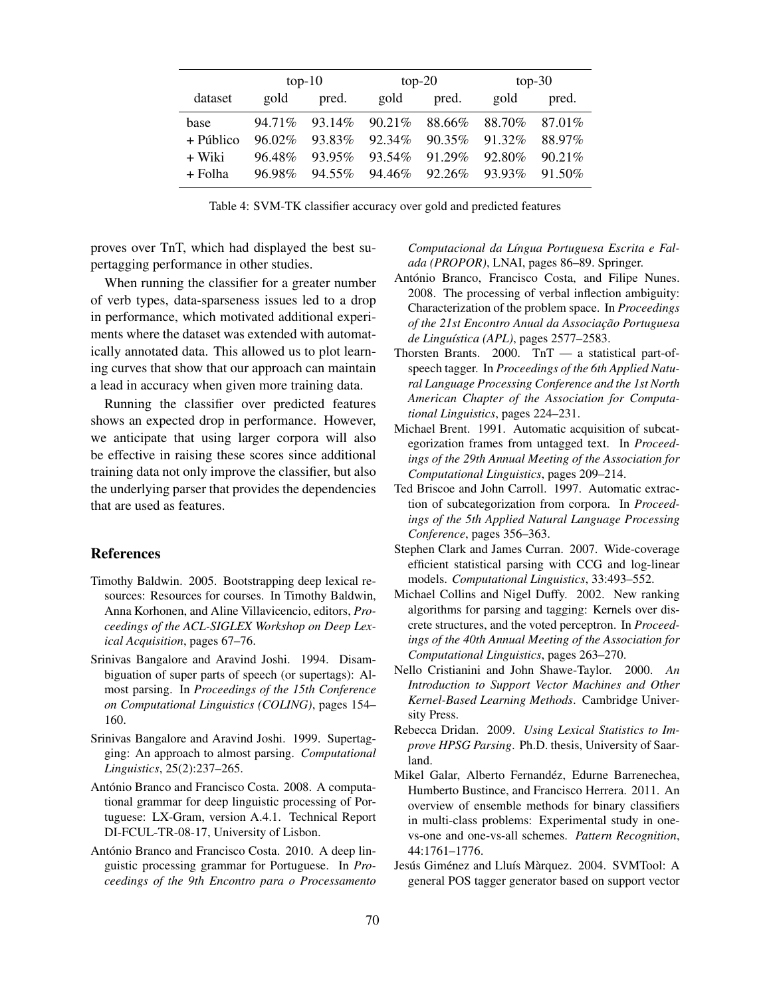|           | $top-10$  |        | $top-20$  |        | $top-30$ |        |
|-----------|-----------|--------|-----------|--------|----------|--------|
| dataset   | gold      | pred.  | gold      | pred.  | gold     | pred.  |
| base      | 94.71%    | 93.14% | $90.21\%$ | 88.66% | 88.70%   | 87.01% |
| + Público | $96.02\%$ | 93.83% | 92.34%    | 90.35% | 91.32%   | 88.97% |
| + Wiki    | 96.48%    | 93.95% | 93.54%    | 91.29% | 92.80%   | 90.21% |
| $+$ Folha | 96.98%    | 94.55% | 94.46%    | 92.26% | 93.93%   | 91.50% |

Table 4: SVM-TK classifier accuracy over gold and predicted features

proves over TnT, which had displayed the best supertagging performance in other studies.

When running the classifier for a greater number of verb types, data-sparseness issues led to a drop in performance, which motivated additional experiments where the dataset was extended with automatically annotated data. This allowed us to plot learning curves that show that our approach can maintain a lead in accuracy when given more training data.

Running the classifier over predicted features shows an expected drop in performance. However, we anticipate that using larger corpora will also be effective in raising these scores since additional training data not only improve the classifier, but also the underlying parser that provides the dependencies that are used as features.

## References

- Timothy Baldwin. 2005. Bootstrapping deep lexical resources: Resources for courses. In Timothy Baldwin, Anna Korhonen, and Aline Villavicencio, editors, *Proceedings of the ACL-SIGLEX Workshop on Deep Lexical Acquisition*, pages 67–76.
- Srinivas Bangalore and Aravind Joshi. 1994. Disambiguation of super parts of speech (or supertags): Almost parsing. In *Proceedings of the 15th Conference on Computational Linguistics (COLING)*, pages 154– 160.
- Srinivas Bangalore and Aravind Joshi. 1999. Supertagging: An approach to almost parsing. *Computational Linguistics*, 25(2):237–265.
- António Branco and Francisco Costa. 2008. A computational grammar for deep linguistic processing of Portuguese: LX-Gram, version A.4.1. Technical Report DI-FCUL-TR-08-17, University of Lisbon.
- António Branco and Francisco Costa. 2010. A deep linguistic processing grammar for Portuguese. In *Proceedings of the 9th Encontro para o Processamento*

*Computacional da L´ıngua Portuguesa Escrita e Falada (PROPOR)*, LNAI, pages 86–89. Springer.

- António Branco, Francisco Costa, and Filipe Nunes. 2008. The processing of verbal inflection ambiguity: Characterization of the problem space. In *Proceedings*  $of$  the 21st Encontro Anual da Associação Portuguesa *de Lingu´ıstica (APL)*, pages 2577–2583.
- Thorsten Brants. 2000. TnT a statistical part-ofspeech tagger. In *Proceedings of the 6th Applied Natural Language Processing Conference and the 1st North American Chapter of the Association for Computational Linguistics*, pages 224–231.
- Michael Brent. 1991. Automatic acquisition of subcategorization frames from untagged text. In *Proceedings of the 29th Annual Meeting of the Association for Computational Linguistics*, pages 209–214.
- Ted Briscoe and John Carroll. 1997. Automatic extraction of subcategorization from corpora. In *Proceedings of the 5th Applied Natural Language Processing Conference*, pages 356–363.
- Stephen Clark and James Curran. 2007. Wide-coverage efficient statistical parsing with CCG and log-linear models. *Computational Linguistics*, 33:493–552.
- Michael Collins and Nigel Duffy. 2002. New ranking algorithms for parsing and tagging: Kernels over discrete structures, and the voted perceptron. In *Proceedings of the 40th Annual Meeting of the Association for Computational Linguistics*, pages 263–270.
- Nello Cristianini and John Shawe-Taylor. 2000. *An Introduction to Support Vector Machines and Other Kernel-Based Learning Methods*. Cambridge University Press.
- Rebecca Dridan. 2009. *Using Lexical Statistics to Improve HPSG Parsing*. Ph.D. thesis, University of Saarland.
- Mikel Galar, Alberto Fernandéz, Edurne Barrenechea, Humberto Bustince, and Francisco Herrera. 2011. An overview of ensemble methods for binary classifiers in multi-class problems: Experimental study in onevs-one and one-vs-all schemes. *Pattern Recognition*, 44:1761–1776.
- Jesús Giménez and Lluís Màrquez. 2004. SVMTool: A general POS tagger generator based on support vector